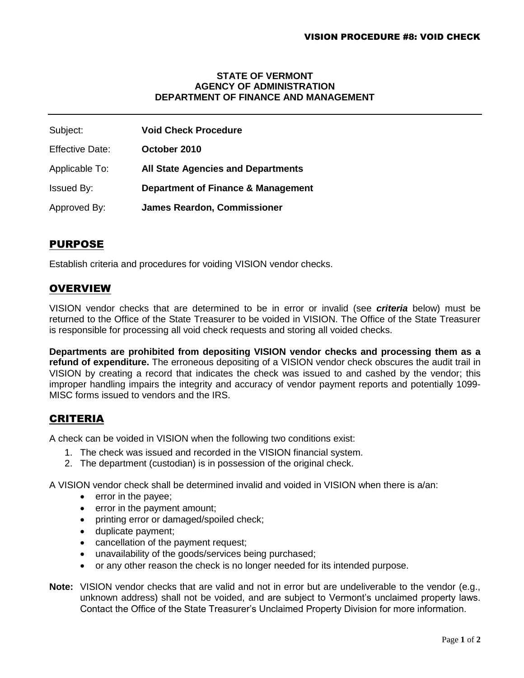#### **STATE OF VERMONT AGENCY OF ADMINISTRATION DEPARTMENT OF FINANCE AND MANAGEMENT**

| Subject:               | <b>Void Check Procedure</b>               |
|------------------------|-------------------------------------------|
| <b>Effective Date:</b> | October 2010                              |
| Applicable To:         | <b>All State Agencies and Departments</b> |
| <b>Issued By:</b>      | Department of Finance & Management        |
| Approved By:           | <b>James Reardon, Commissioner</b>        |

# PURPOSE

Establish criteria and procedures for voiding VISION vendor checks.

### **OVERVIEW**

VISION vendor checks that are determined to be in error or invalid (see *criteria* below) must be returned to the Office of the State Treasurer to be voided in VISION. The Office of the State Treasurer is responsible for processing all void check requests and storing all voided checks.

**Departments are prohibited from depositing VISION vendor checks and processing them as a refund of expenditure.** The erroneous depositing of a VISION vendor check obscures the audit trail in VISION by creating a record that indicates the check was issued to and cashed by the vendor; this improper handling impairs the integrity and accuracy of vendor payment reports and potentially 1099- MISC forms issued to vendors and the IRS.

# CRITERIA

A check can be voided in VISION when the following two conditions exist:

- 1. The check was issued and recorded in the VISION financial system.
- 2. The department (custodian) is in possession of the original check.

A VISION vendor check shall be determined invalid and voided in VISION when there is a/an:

- **e** error in the payee:
- error in the payment amount;
- printing error or damaged/spoiled check;
- duplicate payment;
- cancellation of the payment request;
- unavailability of the goods/services being purchased;
- or any other reason the check is no longer needed for its intended purpose.
- **Note:** VISION vendor checks that are valid and not in error but are undeliverable to the vendor (e.g., unknown address) shall not be voided, and are subject to Vermont's unclaimed property laws. Contact the Office of the State Treasurer's Unclaimed Property Division for more information.